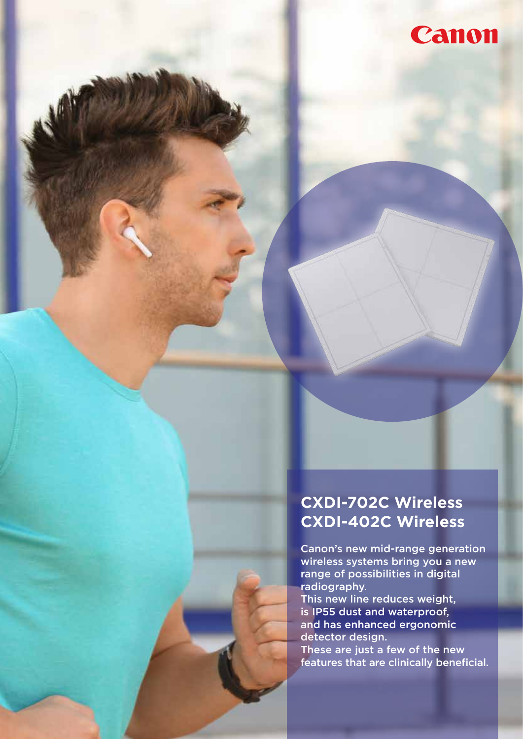

### **CXDI-702C Wireless CXDI-402C Wireless**

Canon's new mid-range generation wireless systems bring you a new range of possibilities in digital radiography.

This new line reduces weight, is IP55 dust and waterproof, and has enhanced ergonomic detector design.

These are just a few of the new features that are clinically beneficial.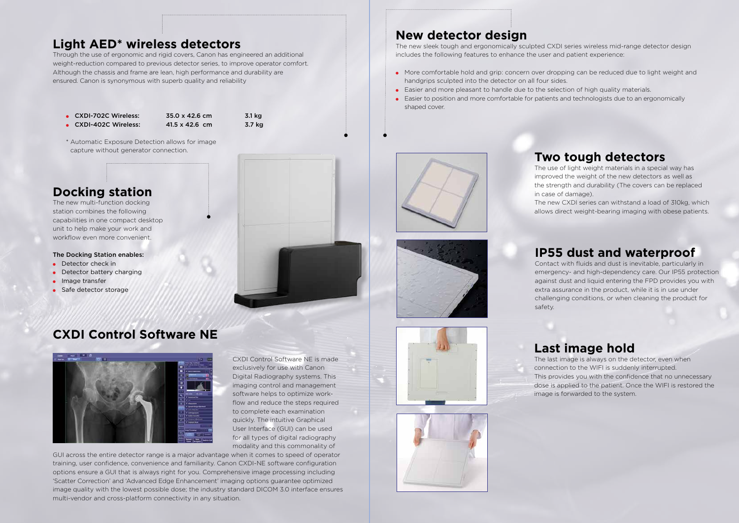### **Light AED\* wireless detectors**

Through the use of ergonomic and rigid covers, Canon has engineered an additional weight-reduction compared to previous detector series, to improve operator comfort. Although the chassis and frame are lean, high performance and durability are ensured. Canon is synonymous with superb quality and reliability

## **New detector design**

The new sleek tough and ergonomically sculpted CXDI series wireless mid-range detector design includes the following features to enhance the user and patient experience:

- More comfortable hold and grip: concern over dropping can be reduced due to light weight and handgrips sculpted into the detector on all four sides.
- Easier and more pleasant to handle due to the selection of high quality materials.
- Easier to position and more comfortable for patients and technologists due to an ergonomically shaped cover.



### **IP55 dust and waterproof**

Contact with fluids and dust is inevitable, particularly in emergency- and high-dependency care. Our IP55 protection against dust and liquid entering the FPD provides you with extra assurance in the product, while it is in use under challenging conditions, or when cleaning the product for

safety.



- CXDI-702C Wireless: 35.0 x 42.6 cm 3.1 kg
- CXDI-402C Wireless: 41.5 x 42.6 cm 3.7 kg

\* Automatic Exposure Detection allows for image capture without generator connection.

### **Docking station**

The new multi-function docking station combines the following capabilities in one compact desktop unit to help make your work and workflow even more convenient.

### The Docking Station enables:

- Detector check in
- Detector battery charging
- Image transfer
- Safe detector storage



### **Two tough detectors**

The use of light weight materials in a special way has improved the weight of the new detectors as well as the strength and durability (The covers can be replaced in case of damage).

The new CXDI series can withstand a load of 310kg, which allows direct weight-bearing imaging with obese patients.

# **Last image hold**

The last image is always on the detector, even when connection to the WIFI is suddenly interrupted. This provides you with the confidence that no unnecessary dose is applied to the patient. Once the WIFI is restored the image is forwarded to the system.

## **CXDI Control Software NE**



CXDI Control Software NE is made exclusively for use with Canon Digital Radiography systems. This imaging control and management software helps to optimize workflow and reduce the steps required to complete each examination quickly. The intuitive Graphical User Interface (GUI) can be used for all types of digital radiography modality and this commonality of

GUI across the entire detector range is a major advantage when it comes to speed of operator training, user confidence, convenience and familiarity. Canon CXDI-NE software configuration options ensure a GUI that is always right for you. Comprehensive image processing including 'Scatter Correction' and 'Advanced Edge Enhancement' imaging options guarantee optimized image quality with the lowest possible dose; the industry standard DICOM 3.0 interface ensures multi-vendor and cross-platform connectivity in any situation.